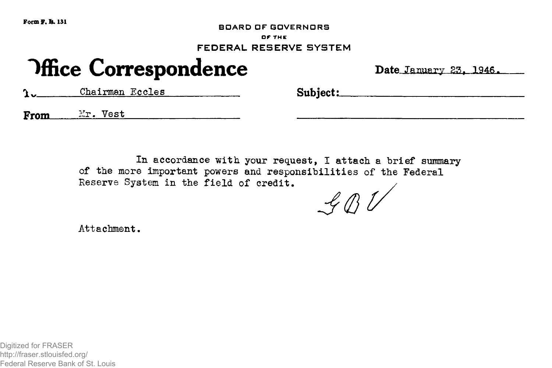**Form F. & 131**

**BOARD OF GOVERNORS**

**OF THE**

FEDERAL RESERVE SYSTEM

## **Office Correspondence** Date January 23, 1946.

**Chairman Eccles** Subject:

From *Mr.* Vest

In accordance with your request, I attach a brief summary of the more important powers and responsibilities of the Federal Reserve System in the field of credit.

 $\mathcal{L} \mathcal{B}$ 

Attachment.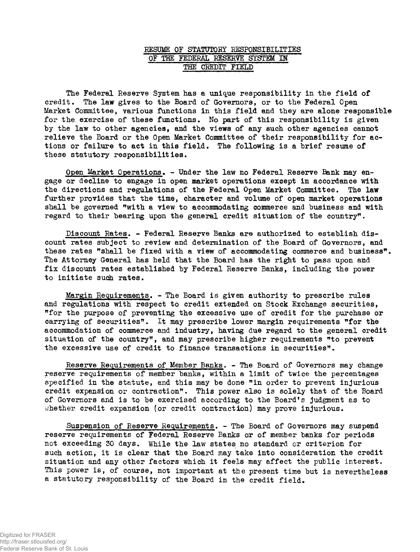## EESOME OF STATOTOKY RESPONSIBILITIES OF THE FEDERAL RESERVE SYSTEM IN THE CREDIT FIELD

The Federal Reserve System has a unique responsibility in the field of credit. The law gives to the Board of Governors, or to the Federal Open Market Committee, various functions in this field and they are alone responsible for the exercise of these functions. No part of this responsibility is given by the law to other agencies, and the views of any such other agencies cannot relieve the Board or the Open Market Committee of their responsibility for actions or failure to act in this field. The following is a brief resume of these statutory responsibilities.

Open Market Operations. - Under the law no Federal Reserve Bank may engage or decline to engage in open market operations except in accordance with the directions and regulations of the Federal Open Market Committee. The law further provides that the time, character and volume of open market operations shall be governed "with a view to accommodating commerce and business and with regard to their bearing upon the general credit situation of the country\*.

Discount Rates. - Federal Reserve Banks are authorized to establish discount rates subject to review and determination of the Board of Governors, and these rates "shall be fixed with a view of accommodating commerce and business". The Attorney General has held that the Board has the right to pass upon and fix discount rates established by Federal Reserve Banks, including the power to initiate sudh rates.

Margin Requirements. - The Board is given authority to prescribe rules and regulations with respect to credit extended on Stock Exchange securities, "for the purpose of preventing the excessive use of credit for the purchase or carrying of securities". It may prescribe lower margin requirements "for the accommodation of commerce and industry, having due regard to the general credit situation of the country", and may prescribe higher requirements "to prevent the excessive use of credit to finance transactions in securities".

Reserve Requirements of Member Banks. - The Board of Governors may change reserve requirements of member banks, within a limit of twice the percentages specified in the statute, and this may be done "in order to prevent injurious credit expansion or contraction". This power also is solely that of the Board of Governors and is to be exercised according to the Board's judgment as to whether credit expansion (or credit contraction) may prove injurious.

Suspension of Reserve Requirements. - The Board of Governors may suspend reserve requirements of Federal Reserve Banks or of member banks for periods not exceeding 30 days. While the law states no standard or criterion for such action, it is clear that the Board may take into consideration the credit situation and any other factors which it feels may affect the public interest. This power is, of course, not important at the present time but is nevertheless a statutory responsibility of the Board in the credit field.